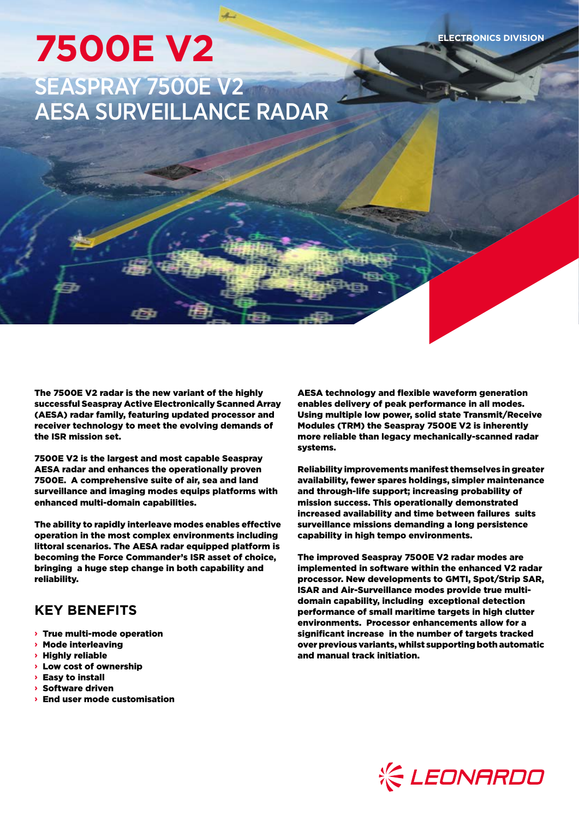**ELECTRONICS DIVISION**

# **7500E V2** SEASPRAY 7500E V2

AESA SURVEILLANCE RADAR

The 7500E V2 radar is the new variant of the highly successful Seaspray Active Electronically Scanned Array (AESA) radar family, featuring updated processor and receiver technology to meet the evolving demands of the ISR mission set.

7500E V2 is the largest and most capable Seaspray AESA radar and enhances the operationally proven 7500E. A comprehensive suite of air, sea and land surveillance and imaging modes equips platforms with enhanced multi-domain capabilities.

The ability to rapidly interleave modes enables effective operation in the most complex environments including littoral scenarios. The AESA radar equipped platform is becoming the Force Commander's ISR asset of choice, bringing a huge step change in both capability and reliability.

# **KEY BENEFITS**

- **›** True multi-mode operation
- **›** Mode interleaving
- **›** Highly reliable
- **›** Low cost of ownership
- **›** Easy to install **›** Software driven
- **›** End user mode customisation

AESA technology and flexible waveform generation enables delivery of peak performance in all modes. Using multiple low power, solid state Transmit/Receive Modules (TRM) the Seaspray 7500E V2 is inherently more reliable than legacy mechanically-scanned radar systems.

Reliability improvements manifest themselves in greater availability, fewer spares holdings, simpler maintenance and through-life support; increasing probability of mission success. This operationally demonstrated increased availability and time between failures suits surveillance missions demanding a long persistence capability in high tempo environments.

The improved Seaspray 7500E V2 radar modes are implemented in software within the enhanced V2 radar processor. New developments to GMTI, Spot/Strip SAR, ISAR and Air-Surveillance modes provide true multidomain capability, including exceptional detection performance of small maritime targets in high clutter environments. Processor enhancements allow for a significant increase in the number of targets tracked over previous variants, whilst supporting both automatic and manual track initiation.